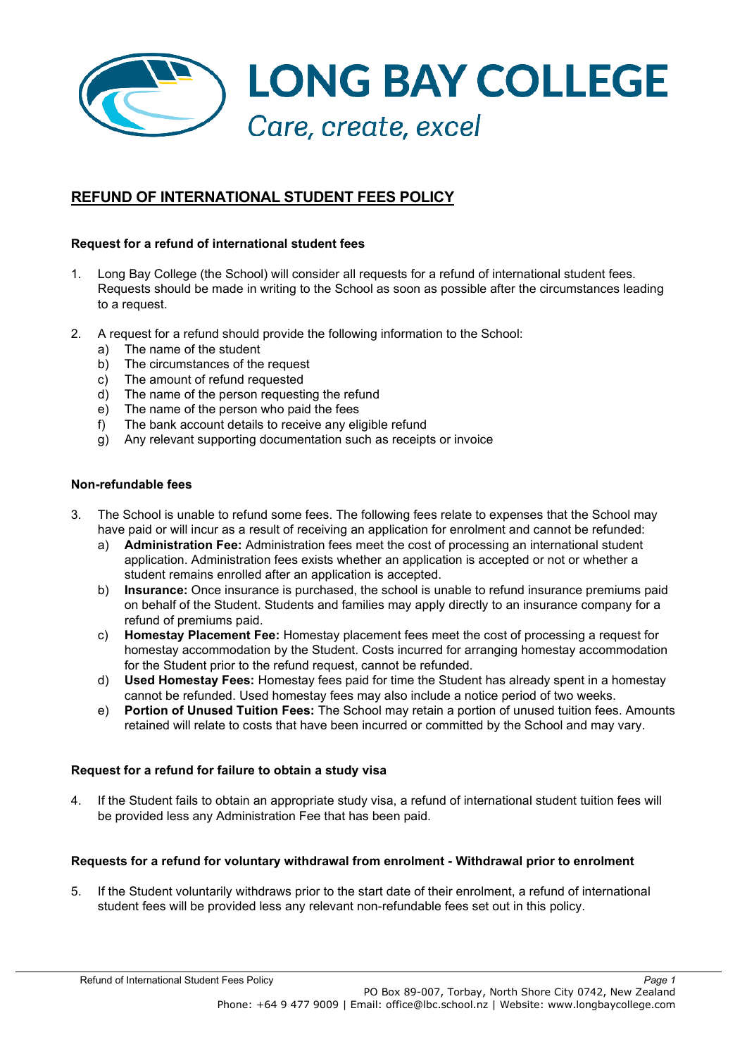

# **REFUND OF INTERNATIONAL STUDENT FEES POLICY**

# **Request for a refund of international student fees**

- 1. Long Bay College (the School) will consider all requests for a refund of international student fees. Requests should be made in writing to the School as soon as possible after the circumstances leading to a request.
- 2. A request for a refund should provide the following information to the School:
	- a) The name of the student
	- b) The circumstances of the request
	- c) The amount of refund requested
	- d) The name of the person requesting the refund
	- e) The name of the person who paid the fees
	- f) The bank account details to receive any eligible refund
	- g) Any relevant supporting documentation such as receipts or invoice

#### **Non-refundable fees**

- 3. The School is unable to refund some fees. The following fees relate to expenses that the School may have paid or will incur as a result of receiving an application for enrolment and cannot be refunded:
	- a) **Administration Fee:** Administration fees meet the cost of processing an international student application. Administration fees exists whether an application is accepted or not or whether a student remains enrolled after an application is accepted.
	- b) **Insurance:** Once insurance is purchased, the school is unable to refund insurance premiums paid on behalf of the Student. Students and families may apply directly to an insurance company for a refund of premiums paid.
	- c) **Homestay Placement Fee:** Homestay placement fees meet the cost of processing a request for homestay accommodation by the Student. Costs incurred for arranging homestay accommodation for the Student prior to the refund request, cannot be refunded.
	- d) **Used Homestay Fees:** Homestay fees paid for time the Student has already spent in a homestay cannot be refunded. Used homestay fees may also include a notice period of two weeks.
	- e) **Portion of Unused Tuition Fees:** The School may retain a portion of unused tuition fees. Amounts retained will relate to costs that have been incurred or committed by the School and may vary.

#### **Request for a refund for failure to obtain a study visa**

4. If the Student fails to obtain an appropriate study visa, a refund of international student tuition fees will be provided less any Administration Fee that has been paid.

#### **Requests for a refund for voluntary withdrawal from enrolment - Withdrawal prior to enrolment**

5. If the Student voluntarily withdraws prior to the start date of their enrolment, a refund of international student fees will be provided less any relevant non-refundable fees set out in this policy.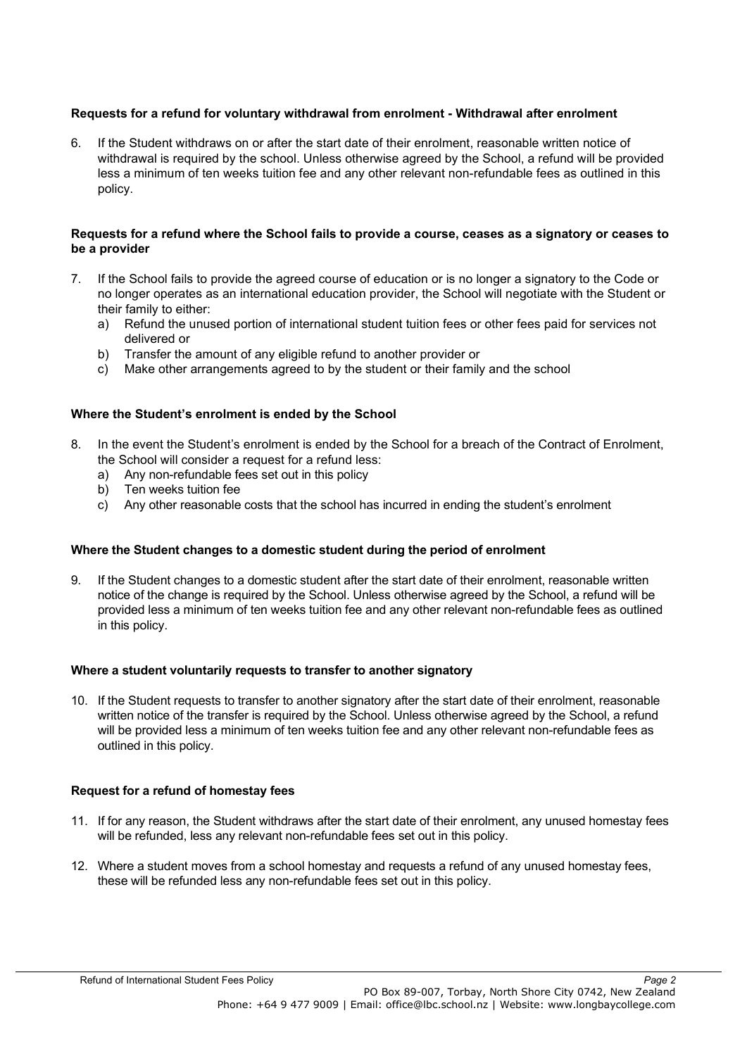# **Requests for a refund for voluntary withdrawal from enrolment - Withdrawal after enrolment**

6. If the Student withdraws on or after the start date of their enrolment, reasonable written notice of withdrawal is required by the school. Unless otherwise agreed by the School, a refund will be provided less a minimum of ten weeks tuition fee and any other relevant non-refundable fees as outlined in this policy.

#### **Requests for a refund where the School fails to provide a course, ceases as a signatory or ceases to be a provider**

- 7. If the School fails to provide the agreed course of education or is no longer a signatory to the Code or no longer operates as an international education provider, the School will negotiate with the Student or their family to either:
	- a) Refund the unused portion of international student tuition fees or other fees paid for services not delivered or
	- b) Transfer the amount of any eligible refund to another provider or
	- c) Make other arrangements agreed to by the student or their family and the school

# **Where the Student's enrolment is ended by the School**

- 8. In the event the Student's enrolment is ended by the School for a breach of the Contract of Enrolment, the School will consider a request for a refund less:
	- a) Any non-refundable fees set out in this policy
	- b) Ten weeks tuition fee
	- c) Any other reasonable costs that the school has incurred in ending the student's enrolment

#### **Where the Student changes to a domestic student during the period of enrolment**

9. If the Student changes to a domestic student after the start date of their enrolment, reasonable written notice of the change is required by the School. Unless otherwise agreed by the School, a refund will be provided less a minimum of ten weeks tuition fee and any other relevant non-refundable fees as outlined in this policy.

#### **Where a student voluntarily requests to transfer to another signatory**

10. If the Student requests to transfer to another signatory after the start date of their enrolment, reasonable written notice of the transfer is required by the School. Unless otherwise agreed by the School, a refund will be provided less a minimum of ten weeks tuition fee and any other relevant non-refundable fees as outlined in this policy.

#### **Request for a refund of homestay fees**

- 11. If for any reason, the Student withdraws after the start date of their enrolment, any unused homestay fees will be refunded, less any relevant non-refundable fees set out in this policy.
- 12. Where a student moves from a school homestay and requests a refund of any unused homestay fees, these will be refunded less any non-refundable fees set out in this policy.